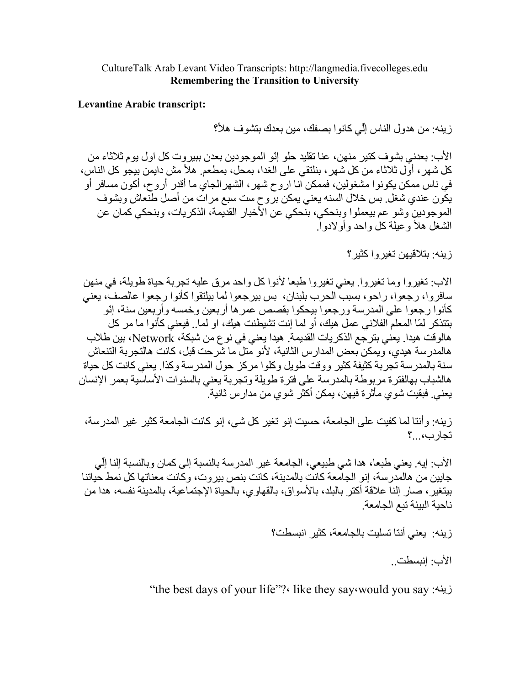CultureTalk Arab Levant Video Transcripts: http://langmedia.fivecolleges.edu **Remembering the Transition to University** 

**Levantine Arabic transcript:** 

ز بنه: من هدو ل الناس إلّي كانو ا بصفك، مين بعدك بنشو ف هلأ؟

الأب: بعدني بشوف كتير منهن، عنا تقليد حلو إنّو الموجودين بعدن ببيروت كل اول يوم ثلاثاء من كل شهرٍ ، أوَّل ثلاثاء من كل شهرٍ ، بنلتقي على الغدا، بمحل، بمطعم ِ هلأ مش دايمن بيجو كل الناس، في ناس ممكن يكونوا مشغولين، فممكن انا اروح شهر ، الشهر الجاي ما أقدر أروح، أكون مسافر أو يكون عندي شغل بس خلال السنه يعني يمكن بروح ست سبع مرات من أصل طنعاش وبشوف الموجودين وشو عم بيعملوا وبنحكي، بنَّحكي عن الآخبار القديمة، الذكريات، وبنحكي كمان عن الشغل هلأ وعبلة كل واحد وأو لإدول

زينه: بتلاقيهن تغير واكثير ؟

الاب: تغيروا وما تغيروا. يعني تغيروا طبعا لأنوا كل واحد مرق عليه تجربة حياة طويلة، في منهن سافروا، رجعوا، راحو، بسبب الحرب بلبنان، بس بيرجعوا لما بيلتقوا كأنوا رجعوا عالصف، يعني كأنو ١ ر جعو ١ على المدر سة و ر جعو ١ بيحكو ١ بقصص عمر ها أر بعين و خمسه و أر بعين سنة، إنّو بتتذكر لمّا المعلم الفلاني عمل هيك، أو لما إنت تشيطنت هيك، او لما ٍ فيعني كأنوا ما مر كل هالوقت هيدا. يعني بترجع الذكريات القديمة. هيدا يعني في نوع من شبكة، Network، بين طلاب هالمدر سة هيدي، و يمكن بعض المدار س الثانية، لأنو متل ما شر حت قبل، كانت هالتجر بة التنعاش سنة بالمدرسة تجربة كثيفة كثير ووقت طويل وكلوا مركز حول المدرسة وكذا بعنى كانت كل حياة هالشباب بهالفتر ة مر بوطة بالمدر سة على فتر ة طويلة وتجر بة يعني بالسنو ات الأساسية بعمر الإنسان يعني فبقيت شو ي مأثر ة فيهن، يمكن أكثر اشو ي من مدار س ثانية ِ ٓ

زينه: وأنتا لما كفيت على الجامعة، حسيت إنو تغير كل شي، إنو كانت الجامعة كثير غير المدرسة، تجارب،...؟

الأب: إيه. يعني طبعا، هدا شي طبيعي، الجامعة غير المدرسة بالنسبة إلى كمان وبالنسبة إلنا إلِّي جابين من هالمدرسة، إنو الجامعة كانت بالمدينة، كانت بنص بيروت، وكانت معناتها كل نمط حياتنا بينغير ، صـار النا علاقة أكتر بالبلد، بالأسواق، بالقهاوي، بالحياة الإجتماعية، بالمدينة نفسه، هدا من ناحبة الببئة تبع الجامعة

زِينه: يعني أننا تسليت بالجامعة، كثير انبسطت؟

الأب· انبسطت

"the best days of your life"?" like they say would you say زينه: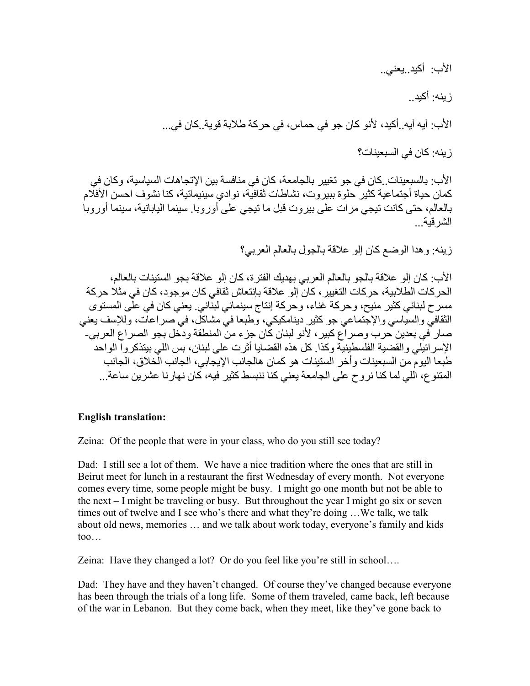الأب: أكيد يعني..

زينه: أكيد...

الأب: آيه آيه. أكيد، لأنو كان جو في حماس، في حركة طلابة قوية. كان في...

ز بنه: كان في السبعينات؟

الأب: بالسبعينات ِكان في جو تغيير بالجامعة، كان في منافسة بين الإتجاهات السياسية، وكان في كمان حياة أجتماعية كثير حلوة ببيروت، نشاطات ثقافيَّة، نوادي سينيمائية، كنا نشوف احسن الأفلَّام بالعالم، حتى كانت تيجي مرات على بيروت قبل ما تيجي على أوروبا. سينما اليابانية، سينما أوروبا الشر قبة

ز بنه: و هدا الو ضع كان إلو علاقة بالجول بالعالم العربي؟

الأب: كان إلى علاقة بالجو بالعالم العربي بهديك الفترة، كان إلى علاقة بجو الستينات بالعالم، الحر كات الطلابية، حركات التغيير ، كان إلو علاقة بإنتعاش ثقافي كان موجود، كان في مثلاً حركة مسرح لبناني كثير منيح، وحركة غناء، وحركة إنتاج سينمائي لبنّاني. يعني كان في علِّي المستوى الثقافيّ و السياسي و الإجتماعي جو كثير دينامكيكي، وطبعا في مشاكل، في صر إعات، وللإسف يعني صار في بعدين حرب وصراع كبير ، لأنو لبنان كان جزء من المنطقة ودخل بجو الصراع العربي-الإسر ائبِلِّي و القضية الفلسطينيَّة و كذا ٍ كل هذه القضايا أثر ت على لبنان، بس اللي بيتذكر و آ الو احد طبعا اليو م من السبعينات و أخر الستينات هو كمان هالجانب الإيجابي، الجانب الخلاق، الجانب المتنوع، اللي لما كنا نروح على الجامعة يعني كنا ننبسط كثير فيه، كان نهارنا عشرين ساعة...

## **English translation:**

Zeina: Of the people that were in your class, who do you still see today?

Dad: I still see a lot of them. We have a nice tradition where the ones that are still in Beirut meet for lunch in a restaurant the first Wednesday of every month. Not everyone comes every time, some people might be busy. I might go one month but not be able to the next  $-$  I might be traveling or busy. But throughout the year I might go six or seven times out of twelve and I see who's there and what they're doing ...We talk, we talk about old news, memories ... and we talk about work today, everyone's family and kids  $\mathsf{too} \dots$ 

Zeina: Have they changed a lot? Or do you feel like you're still in school....

Dad: They have and they haven't changed. Of course they've changed because everyone has been through the trials of a long life. Some of them traveled, came back, left because of the war in Lebanon. But they come back, when they meet, like they've gone back to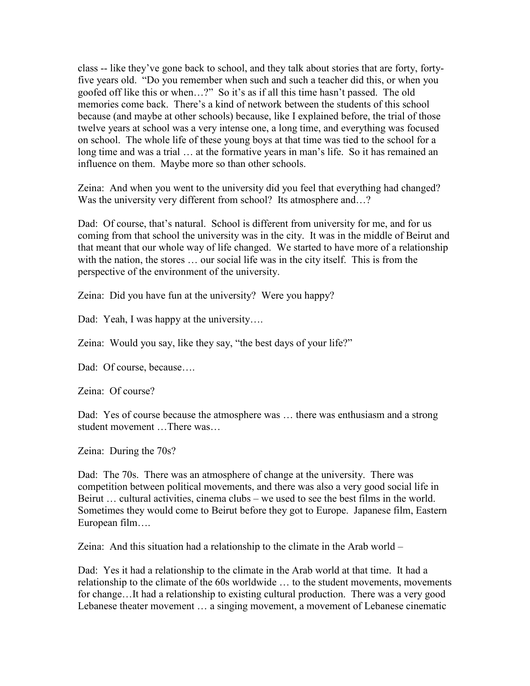class -- like they've gone back to school, and they talk about stories that are forty, fortyfive years old. "Do you remember when such and such a teacher did this, or when you goofed off like this or when…?" So it's as if all this time hasn't passed. The old memories come back. There's a kind of network between the students of this school because (and maybe at other schools) because, like I explained before, the trial of those twelve years at school was a very intense one, a long time, and everything was focused on school. The whole life of these young boys at that time was tied to the school for a long time and was a trial … at the formative years in man's life. So it has remained an influence on them. Maybe more so than other schools.

Zeina: And when you went to the university did you feel that everything had changed? Was the university very different from school? Its atmosphere and...?

Dad: Of course, that's natural. School is different from university for me, and for us coming from that school the university was in the city. It was in the middle of Beirut and that meant that our whole way of life changed. We started to have more of a relationship with the nation, the stores ... our social life was in the city itself. This is from the perspective of the environment of the university.

Zeina: Did you have fun at the university? Were you happy?

Dad: Yeah, I was happy at the university....

Zeina: Would you say, like they say, "the best days of your life?"

Dad: Of course, because....

Zeina: Of course?

Dad: Yes of course because the atmosphere was ... there was enthusiasm and a strong student movement …There was…

Zeina: During the 70s?

Dad: The 70s. There was an atmosphere of change at the university. There was competition between political movements, and there was also a very good social life in Beirut … cultural activities, cinema clubs – we used to see the best films in the world. Sometimes they would come to Beirut before they got to Europe. Japanese film, Eastern European film….

Zeina: And this situation had a relationship to the climate in the Arab world –

Dad: Yes it had a relationship to the climate in the Arab world at that time. It had a relationship to the climate of the 60s worldwide … to the student movements, movements for change…It had a relationship to existing cultural production. There was a very good Lebanese theater movement … a singing movement, a movement of Lebanese cinematic